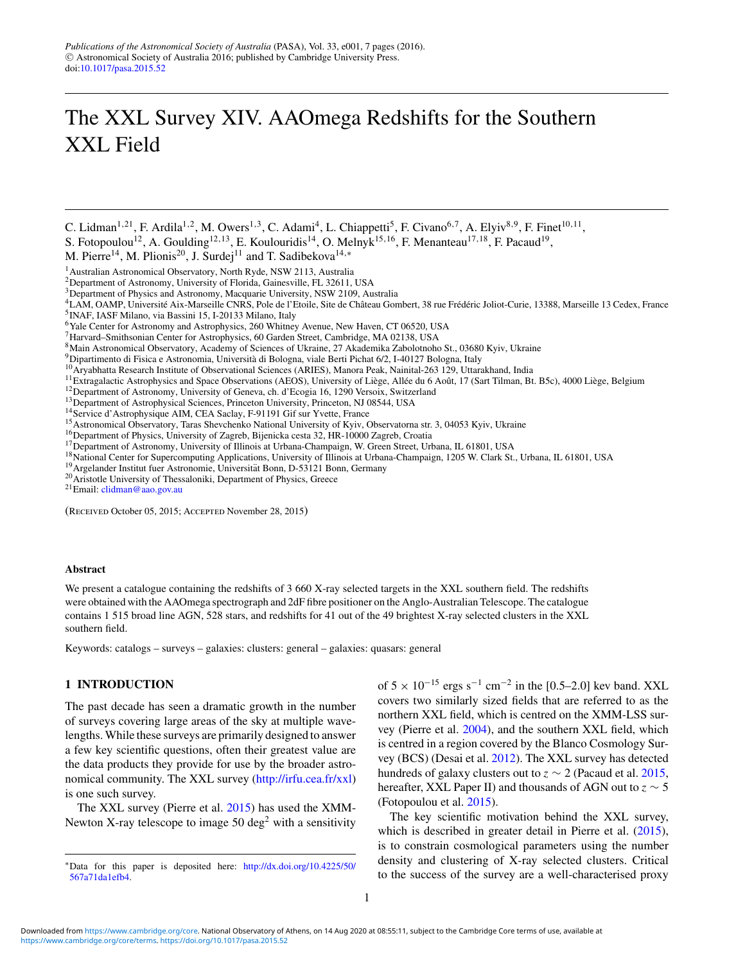# The XXL Survey XIV. AAOmega Redshifts for the Southern XXL Field

C. Lidman<sup>1,21</sup>, F. Ardila<sup>1,2</sup>, M. Owers<sup>1,3</sup>, C. Adami<sup>4</sup>, L. Chiappetti<sup>5</sup>, F. Civano<sup>6,7</sup>, A. Elyiv<sup>8,9</sup>, F. Finet<sup>10,11</sup>,

S. Fotopoulou<sup>12</sup>, A. Goulding<sup>12,13</sup>, E. Koulouridis<sup>14</sup>, O. Melnyk<sup>15,16</sup>, F. Menanteau<sup>17,18</sup>, F. Pacaud<sup>19</sup>,

M. Pierre<sup>14</sup>, M. Plionis<sup>20</sup>, J. Surdej<sup>11</sup> and T. Sadibekova<sup>14,∗</sup>

<sup>1</sup> Australian Astronomical Observatory, North Ryde, NSW 2113, Australia

<sup>2</sup>Department of Astronomy, University of Florida, Gainesville, FL 32611, USA

<sup>3</sup>Department of Physics and Astronomy, Macquarie University, NSW 2109, Australia

<sup>4</sup>LAM, OAMP, Université Aix-Marseille CNRS, Pole de l'Etoile, Site de Château Gombert, 38 rue Frédéric Joliot-Curie, 13388, Marseille 13 Cedex, France <sup>5</sup>INAF, IASF Milano, via Bassini 15, I-20133 Milano, Italy

6Yale Center for Astronomy and Astrophysics, 260 Whitney Avenue, New Haven, CT 06520, USA

7Harvard–Smithsonian Center for Astrophysics, 60 Garden Street, Cambridge, MA 02138, USA

<sup>8</sup>Main Astronomical Observatory, Academy of Sciences of Ukraine, 27 Akademika Zabolotnoho St., 03680 Kyiv, Ukraine<br><sup>9</sup>Dipartimento di Fisica e Astronomia, Università di Bologna, viale Berti Pichat 6/2, I-40127 Bologna, It

<sup>10</sup>Aryabhatta Research Institute of Observational Sciences (ARIES), Manora Peak, Nainital-263 129, Uttarakhand, India<br>
<sup>11</sup> Extragalactic Astrophysics and Space Observations (AEOS), University of Liège, Allée du 6 Août,

(Received October 05, 2015; Accepted November 28, 2015)

## **Abstract**

We present a catalogue containing the redshifts of 3 660 X-ray selected targets in the XXL southern field. The redshifts were obtained with the AAOmega spectrograph and 2dF fibre positioner on the Anglo-Australian Telescope. The catalogue contains 1 515 broad line AGN, 528 stars, and redshifts for 41 out of the 49 brightest X-ray selected clusters in the XXL southern field.

Keywords: catalogs – surveys – galaxies: clusters: general – galaxies: quasars: general

## **1 INTRODUCTION**

The past decade has seen a dramatic growth in the number of surveys covering large areas of the sky at multiple wavelengths.While these surveys are primarily designed to answer a few key scientific questions, often their greatest value are the data products they provide for use by the broader astronomical community. The XXL survey [\(http://irfu.cea.fr/xxl\)](http://irfu.cea.fr/xxl) is one such survey.

The XXL survey (Pierre et al. [2015\)](#page-6-0) has used the XMM-Newton X-ray telescope to image 50 deg<sup>2</sup> with a sensitivity of  $5 \times 10^{-15}$  ergs s<sup>-1</sup> cm<sup>-2</sup> in the [0.5–2.0] kev band. XXL covers two similarly sized fields that are referred to as the northern XXL field, which is centred on the XMM-LSS survey (Pierre et al. [2004\)](#page-6-0), and the southern XXL field, which is centred in a region covered by the Blanco Cosmology Survey (BCS) (Desai et al. [2012\)](#page-6-0). The XXL survey has detected hundreds of galaxy clusters out to  $z \sim 2$  (Pacaud et al. [2015,](#page-6-0) hereafter, XXL Paper II) and thousands of AGN out to *z* ∼ 5 (Fotopoulou et al. [2015\)](#page-6-0).

The key scientific motivation behind the XXL survey, which is described in greater detail in Pierre et al.  $(2015)$ , is to constrain cosmological parameters using the number density and clustering of X-ray selected clusters. Critical to the success of the survey are a well-characterised proxy

<sup>∗</sup>Data for this paper is deposited here: [http://dx.doi.org/10.4225/50/](http://dx.doi.org/10.4225/50/567a71da1efb4) [567a71da1efb4.](http://dx.doi.org/10.4225/50/567a71da1efb4)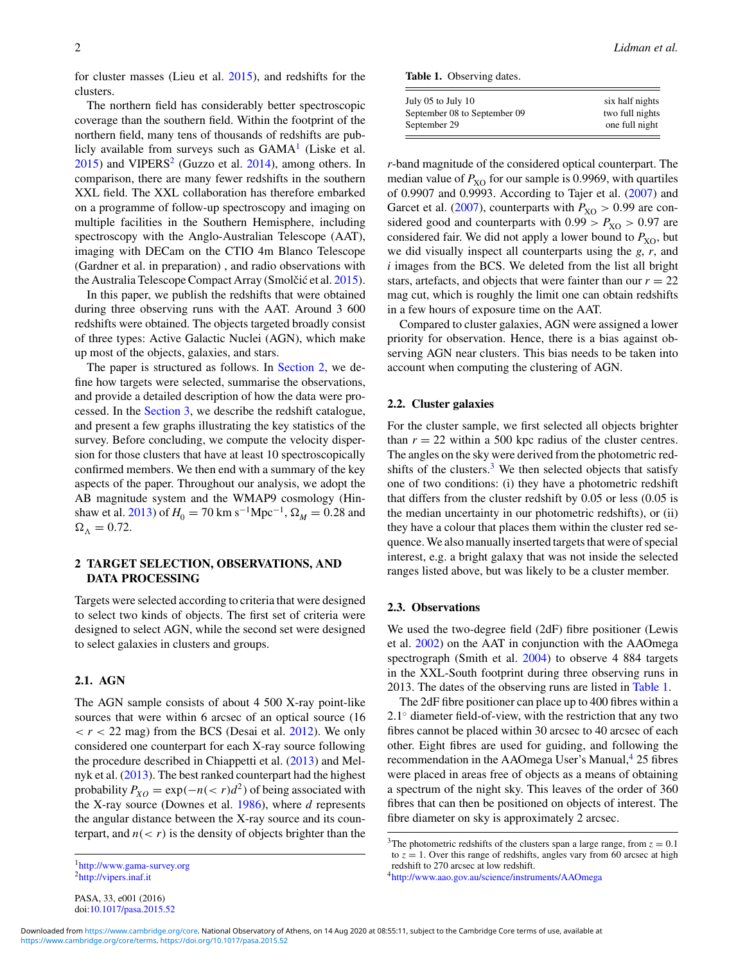for cluster masses (Lieu et al. [2015\)](#page-6-0), and redshifts for the clusters.

The northern field has considerably better spectroscopic coverage than the southern field. Within the footprint of the northern field, many tens of thousands of redshifts are publicly available from surveys such as  $GAMA<sup>1</sup>$  (Liske et al.  $2015$ ) and VIPERS<sup>2</sup> (Guzzo et al.  $2014$ ), among others. In comparison, there are many fewer redshifts in the southern XXL field. The XXL collaboration has therefore embarked on a programme of follow-up spectroscopy and imaging on multiple facilities in the Southern Hemisphere, including spectroscopy with the Anglo-Australian Telescope (AAT), imaging with DECam on the CTIO 4m Blanco Telescope (Gardner et al. in preparation) , and radio observations with the Australia Telescope Compact Array (Smolčić et al. [2015\)](#page-6-0).

In this paper, we publish the redshifts that were obtained during three observing runs with the AAT. Around 3 600 redshifts were obtained. The objects targeted broadly consist of three types: Active Galactic Nuclei (AGN), which make up most of the objects, galaxies, and stars.

The paper is structured as follows. In Section 2, we define how targets were selected, summarise the observations, and provide a detailed description of how the data were processed. In the [Section 3,](#page-3-0) we describe the redshift catalogue, and present a few graphs illustrating the key statistics of the survey. Before concluding, we compute the velocity dispersion for those clusters that have at least 10 spectroscopically confirmed members. We then end with a summary of the key aspects of the paper. Throughout our analysis, we adopt the AB magnitude system and the WMAP9 cosmology (Hin-shaw et al. [2013\)](#page-6-0) of  $H_0 = 70 \text{ km s}^{-1} \text{Mpc}^{-1}$ ,  $\Omega_M = 0.28$  and  $\Omega_{\Lambda} = 0.72.$ 

## **2 TARGET SELECTION, OBSERVATIONS, AND DATA PROCESSING**

Targets were selected according to criteria that were designed to select two kinds of objects. The first set of criteria were designed to select AGN, while the second set were designed to select galaxies in clusters and groups.

## **2.1. AGN**

The AGN sample consists of about 4 500 X-ray point-like sources that were within 6 arcsec of an optical source (16  $r <$  22 mag) from the BCS (Desai et al. [2012\)](#page-6-0). We only considered one counterpart for each X-ray source following the procedure described in Chiappetti et al. [\(2013\)](#page-6-0) and Melnyk et al. [\(2013\)](#page-6-0). The best ranked counterpart had the highest probability  $P_{XO} = \exp(-n(< r)d^2)$  of being associated with the X-ray source (Downes et al. [1986\)](#page-6-0), where *d* represents the angular distance between the X-ray source and its counterpart, and  $n(< r)$  is the density of objects brighter than the

**Table 1.** Observing dates.

| July 05 to July 10           | six half nights |
|------------------------------|-----------------|
| September 08 to September 09 | two full nights |
| September 29                 | one full night  |

*r*-band magnitude of the considered optical counterpart. The median value of  $P_{XO}$  for our sample is 0.9969, with quartiles of 0.9907 and 0.9993. According to Tajer et al. [\(2007\)](#page-6-0) and Garcet et al. [\(2007\)](#page-6-0), counterparts with  $P_{XO} > 0.99$  are considered good and counterparts with  $0.99 > P_{XO} > 0.97$  are considered fair. We did not apply a lower bound to  $P_{XO}$ , but we did visually inspect all counterparts using the *g*, *r*, and *i* images from the BCS. We deleted from the list all bright stars, artefacts, and objects that were fainter than our  $r = 22$ mag cut, which is roughly the limit one can obtain redshifts in a few hours of exposure time on the AAT.

Compared to cluster galaxies, AGN were assigned a lower priority for observation. Hence, there is a bias against observing AGN near clusters. This bias needs to be taken into account when computing the clustering of AGN.

#### **2.2. Cluster galaxies**

For the cluster sample, we first selected all objects brighter than  $r = 22$  within a 500 kpc radius of the cluster centres. The angles on the sky were derived from the photometric redshifts of the clusters. $3$  We then selected objects that satisfy one of two conditions: (i) they have a photometric redshift that differs from the cluster redshift by 0.05 or less (0.05 is the median uncertainty in our photometric redshifts), or (ii) they have a colour that places them within the cluster red sequence.We also manually inserted targets that were of special interest, e.g. a bright galaxy that was not inside the selected ranges listed above, but was likely to be a cluster member.

# **2.3. Observations**

We used the two-degree field (2dF) fibre positioner (Lewis et al. [2002\)](#page-6-0) on the AAT in conjunction with the AAOmega spectrograph (Smith et al. [2004\)](#page-6-0) to observe 4 884 targets in the XXL-South footprint during three observing runs in 2013. The dates of the observing runs are listed in Table 1.

The 2dF fibre positioner can place up to 400 fibres within a 2.1<sup>○</sup> diameter field-of-view, with the restriction that any two fibres cannot be placed within 30 arcsec to 40 arcsec of each other. Eight fibres are used for guiding, and following the recommendation in the AAOmega User's Manual,<sup>4</sup> 25 fibres were placed in areas free of objects as a means of obtaining a spectrum of the night sky. This leaves of the order of 360 fibres that can then be positioned on objects of interest. The fibre diameter on sky is approximately 2 arcsec.

[<sup>1</sup>http://www.gama-survey.org](http://www.gama-survey.org) [2http://vipers.inaf.it](http://vipers.inaf.it)

<sup>&</sup>lt;sup>3</sup>The photometric redshifts of the clusters span a large range, from  $z = 0.1$ to  $z = 1$ . Over this range of redshifts, angles vary from 60 arcsec at high redshift to 270 arcsec at low redshift.

[<sup>4</sup>http://www.aao.gov.au/science/instruments/AAOmega](http://www.aao.gov.au/science/instruments/AAOmega)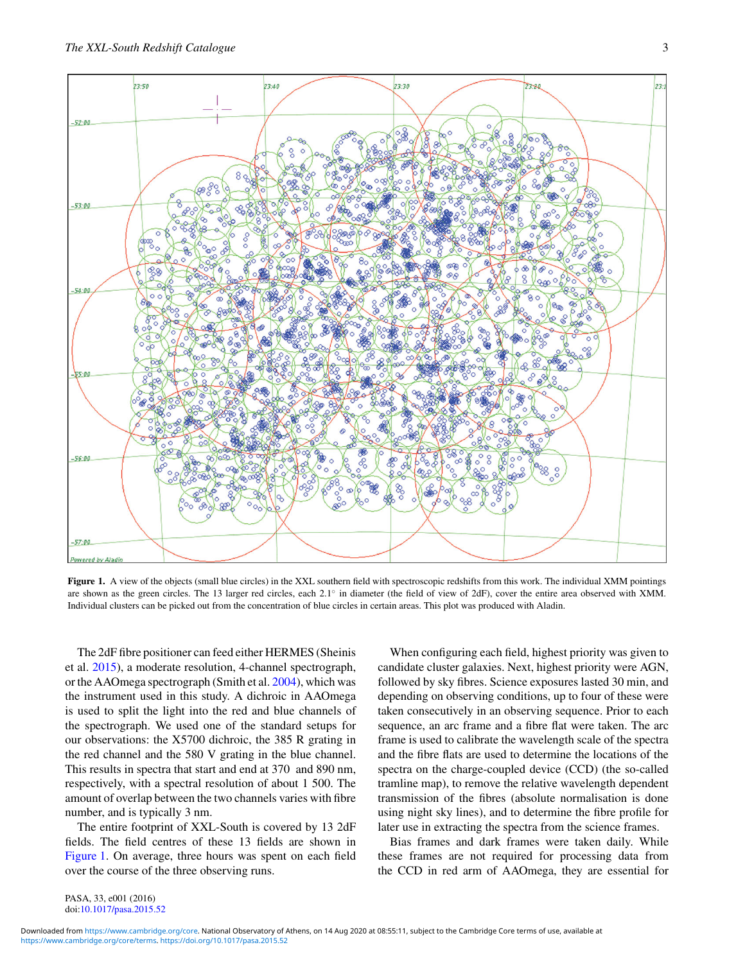<span id="page-2-0"></span>

**Figure 1.** A view of the objects (small blue circles) in the XXL southern field with spectroscopic redshifts from this work. The individual XMM pointings are shown as the green circles. The 13 larger red circles, each 2.1◦ in diameter (the field of view of 2dF), cover the entire area observed with XMM. Individual clusters can be picked out from the concentration of blue circles in certain areas. This plot was produced with Aladin.

The 2dF fibre positioner can feed either HERMES (Sheinis et al. [2015\)](#page-6-0), a moderate resolution, 4-channel spectrograph, or the AAOmega spectrograph (Smith et al. [2004\)](#page-6-0), which was the instrument used in this study. A dichroic in AAOmega is used to split the light into the red and blue channels of the spectrograph. We used one of the standard setups for our observations: the X5700 dichroic, the 385 R grating in the red channel and the 580 V grating in the blue channel. This results in spectra that start and end at 370 and 890 nm, respectively, with a spectral resolution of about 1 500. The amount of overlap between the two channels varies with fibre number, and is typically 3 nm.

The entire footprint of XXL-South is covered by 13 2dF fields. The field centres of these 13 fields are shown in Figure 1. On average, three hours was spent on each field over the course of the three observing runs.

When configuring each field, highest priority was given to candidate cluster galaxies. Next, highest priority were AGN, followed by sky fibres. Science exposures lasted 30 min, and depending on observing conditions, up to four of these were taken consecutively in an observing sequence. Prior to each sequence, an arc frame and a fibre flat were taken. The arc frame is used to calibrate the wavelength scale of the spectra and the fibre flats are used to determine the locations of the spectra on the charge-coupled device (CCD) (the so-called tramline map), to remove the relative wavelength dependent transmission of the fibres (absolute normalisation is done using night sky lines), and to determine the fibre profile for later use in extracting the spectra from the science frames.

Bias frames and dark frames were taken daily. While these frames are not required for processing data from the CCD in red arm of AAOmega, they are essential for

PASA, 33, e001 (2016) doi[:10.1017/pasa.2015.52](http://dx.doi.org/10.1017/pasa.2015.52)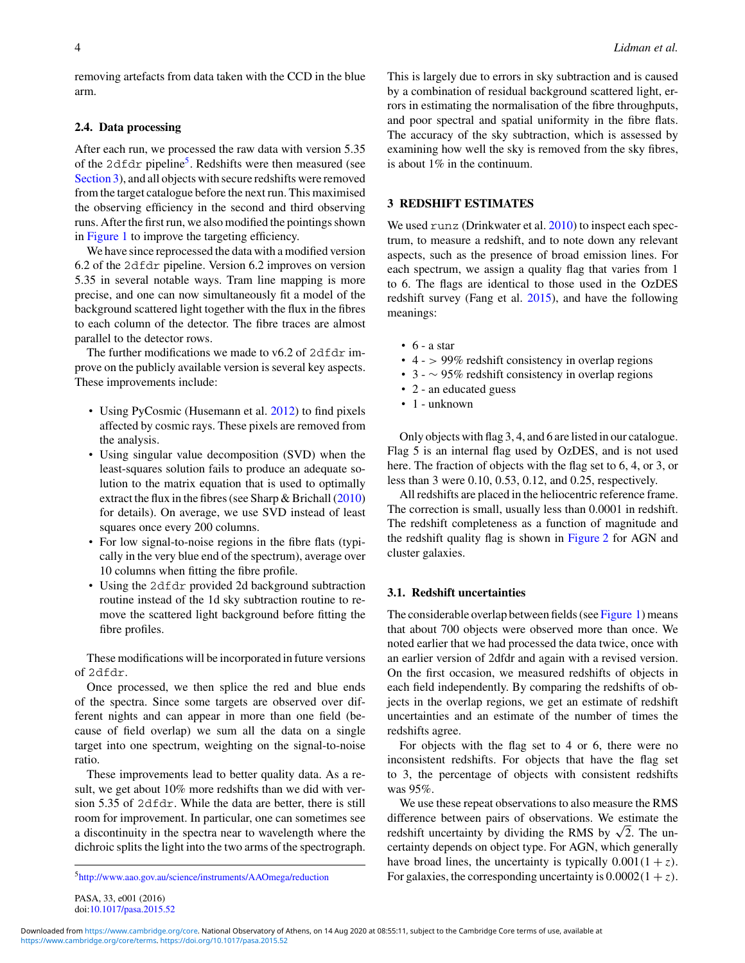<span id="page-3-0"></span>removing artefacts from data taken with the CCD in the blue arm.

#### **2.4. Data processing**

After each run, we processed the raw data with version 5.35 of the 2dfdr pipeline<sup>5</sup>. Redshifts were then measured (see Section 3), and all objects with secure redshifts were removed from the target catalogue before the next run. This maximised the observing efficiency in the second and third observing runs. After the first run, we also modified the pointings shown in [Figure 1](#page-2-0) to improve the targeting efficiency.

We have since reprocessed the data with a modified version 6.2 of the 2dfdr pipeline. Version 6.2 improves on version 5.35 in several notable ways. Tram line mapping is more precise, and one can now simultaneously fit a model of the background scattered light together with the flux in the fibres to each column of the detector. The fibre traces are almost parallel to the detector rows.

The further modifications we made to  $v6.2$  of  $2dfdr$  improve on the publicly available version is several key aspects. These improvements include:

- Using PyCosmic (Husemann et al. [2012\)](#page-6-0) to find pixels affected by cosmic rays. These pixels are removed from the analysis.
- Using singular value decomposition (SVD) when the least-squares solution fails to produce an adequate solution to the matrix equation that is used to optimally extract the flux in the fibres (see Sharp  $\&$  Brichall [\(2010\)](#page-6-0) for details). On average, we use SVD instead of least squares once every 200 columns.
- For low signal-to-noise regions in the fibre flats (typically in the very blue end of the spectrum), average over 10 columns when fitting the fibre profile.
- Using the 2dfdr provided 2d background subtraction routine instead of the 1d sky subtraction routine to remove the scattered light background before fitting the fibre profiles.

These modifications will be incorporated in future versions of 2dfdr.

Once processed, we then splice the red and blue ends of the spectra. Since some targets are observed over different nights and can appear in more than one field (because of field overlap) we sum all the data on a single target into one spectrum, weighting on the signal-to-noise ratio.

These improvements lead to better quality data. As a result, we get about 10% more redshifts than we did with version 5.35 of 2dfdr. While the data are better, there is still room for improvement. In particular, one can sometimes see a discontinuity in the spectra near to wavelength where the dichroic splits the light into the two arms of the spectrograph.

[5http://www.aao.gov.au/science/instruments/AAOmega/reduction](http://www.aao.gov.au/science/instruments/AAOmega/reduction)

This is largely due to errors in sky subtraction and is caused by a combination of residual background scattered light, errors in estimating the normalisation of the fibre throughputs, and poor spectral and spatial uniformity in the fibre flats. The accuracy of the sky subtraction, which is assessed by examining how well the sky is removed from the sky fibres, is about 1% in the continuum.

# **3 REDSHIFT ESTIMATES**

We used runz (Drinkwater et al. [2010\)](#page-6-0) to inspect each spectrum, to measure a redshift, and to note down any relevant aspects, such as the presence of broad emission lines. For each spectrum, we assign a quality flag that varies from 1 to 6. The flags are identical to those used in the OzDES redshift survey (Fang et al. [2015\)](#page-6-0), and have the following meanings:

- $\cdot$  6 a star
- $\cdot$  4 > 99% redshift consistency in overlap regions
- 3 <sup>∼</sup> 95% redshift consistency in overlap regions
- 2 an educated guess
- 1 unknown

Only objects with flag 3, 4, and 6 are listed in our catalogue. Flag 5 is an internal flag used by OzDES, and is not used here. The fraction of objects with the flag set to 6, 4, or 3, or less than 3 were 0.10, 0.53, 0.12, and 0.25, respectively.

All redshifts are placed in the heliocentric reference frame. The correction is small, usually less than 0.0001 in redshift. The redshift completeness as a function of magnitude and the redshift quality flag is shown in [Figure 2](#page-4-0) for AGN and cluster galaxies.

## **3.1. Redshift uncertainties**

The considerable overlap between fields (see [Figure 1\)](#page-2-0) means that about 700 objects were observed more than once. We noted earlier that we had processed the data twice, once with an earlier version of 2dfdr and again with a revised version. On the first occasion, we measured redshifts of objects in each field independently. By comparing the redshifts of objects in the overlap regions, we get an estimate of redshift uncertainties and an estimate of the number of times the redshifts agree.

For objects with the flag set to 4 or 6, there were no inconsistent redshifts. For objects that have the flag set to 3, the percentage of objects with consistent redshifts was 95%.

We use these repeat observations to also measure the RMS difference between pairs of observations. We estimate the redshift uncertainty by dividing the RMS by  $\sqrt{2}$ . The uncertainty depends on object type. For AGN, which generally have broad lines, the uncertainty is typically  $0.001(1 + z)$ . For galaxies, the corresponding uncertainty is  $0.0002(1 + z)$ .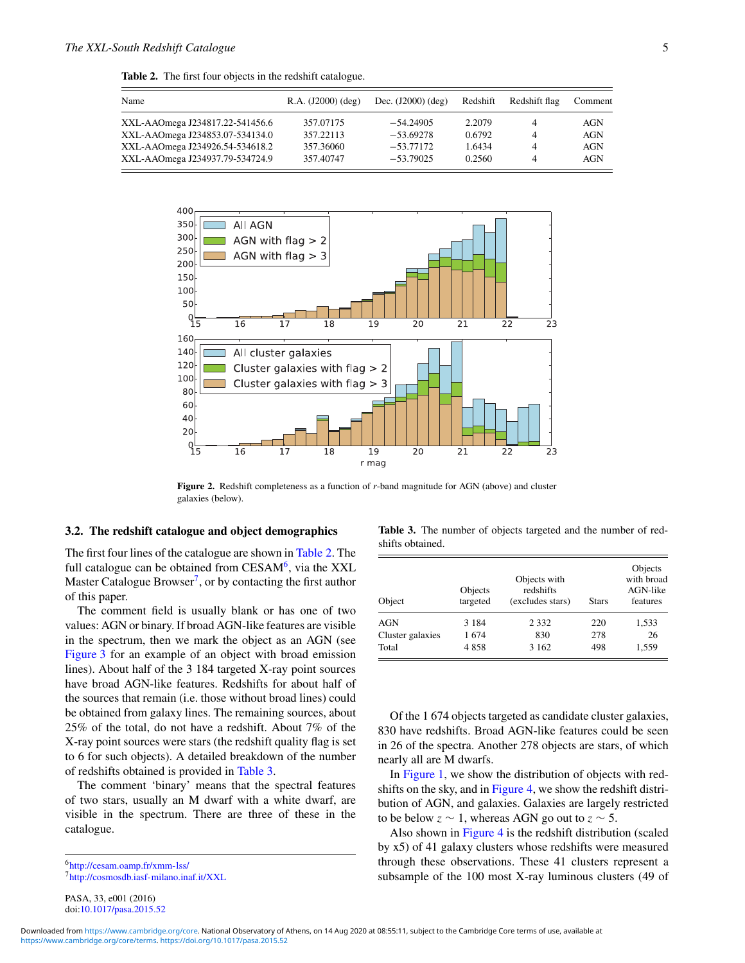<span id="page-4-0"></span>

|  |  |  |  |  |  | <b>Table 2.</b> The first four objects in the redshift catalogue. |
|--|--|--|--|--|--|-------------------------------------------------------------------|
|--|--|--|--|--|--|-------------------------------------------------------------------|

| Name                            | $R.A. (J2000)$ (deg) | Dec. $(J2000)$ $(\text{deg})$ | Redshift | Redshift flag  | Comment |
|---------------------------------|----------------------|-------------------------------|----------|----------------|---------|
| XXL-AAOmega J234817.22-541456.6 | 357.07175            | $-54.24905$                   | 2.2079   | $\overline{4}$ | AGN     |
| XXL-AAOmega J234853.07-534134.0 | 357.22113            | $-53.69278$                   | 0.6792   | $\overline{4}$ | AGN     |
| XXL-AAOmega J234926.54-534618.2 | 357.36060            | $-53.77172$                   | 1.6434   | $\overline{4}$ | AGN     |
| XXL-AAOmega J234937.79-534724.9 | 357.40747            | $-53.79025$                   | 0.2560   | 4              | AGN     |



**Figure 2.** Redshift completeness as a function of *r*-band magnitude for AGN (above) and cluster galaxies (below).

#### **3.2. The redshift catalogue and object demographics**

The first four lines of the catalogue are shown in Table 2. The full catalogue can be obtained from  $CESAM<sup>6</sup>$ , via the XXL Master Catalogue Browser<sup>7</sup>, or by contacting the first author of this paper.

The comment field is usually blank or has one of two values: AGN or binary. If broad AGN-like features are visible in the spectrum, then we mark the object as an AGN (see [Figure 3](#page-5-0) for an example of an object with broad emission lines). About half of the 3 184 targeted X-ray point sources have broad AGN-like features. Redshifts for about half of the sources that remain (i.e. those without broad lines) could be obtained from galaxy lines. The remaining sources, about 25% of the total, do not have a redshift. About 7% of the X-ray point sources were stars (the redshift quality flag is set to 6 for such objects). A detailed breakdown of the number of redshifts obtained is provided in Table 3.

The comment 'binary' means that the spectral features of two stars, usually an M dwarf with a white dwarf, are visible in the spectrum. There are three of these in the catalogue.

[6http://cesam.oamp.fr/xmm-lss/](http://cesam.oamp.fr/xmm-lss/) [7http://cosmosdb.iasf-milano.inaf.it/XXL](http://cosmosdb.iasf-milano.inaf.it/XXL)

PASA, 33, e001 (2016) doi[:10.1017/pasa.2015.52](http://dx.doi.org/10.1017/pasa.2015.52)

**Table 3.** The number of objects targeted and the number of redshifts obtained.

| Object           | Objects with<br>redshifts<br>Objects<br>targeted<br>(excludes stars)<br><b>Stars</b> |         |     | Objects<br>with broad<br>AGN-like<br>features |  |
|------------------|--------------------------------------------------------------------------------------|---------|-----|-----------------------------------------------|--|
| <b>AGN</b>       | 3 1 8 4                                                                              | 2 3 3 2 | 220 | 1,533                                         |  |
| Cluster galaxies | 1674                                                                                 | 830     | 278 | 26                                            |  |
| Total            | 4858                                                                                 | 3 1 6 2 | 498 | 1,559                                         |  |

Of the 1 674 objects targeted as candidate cluster galaxies, 830 have redshifts. Broad AGN-like features could be seen in 26 of the spectra. Another 278 objects are stars, of which nearly all are M dwarfs.

In [Figure 1,](#page-2-0) we show the distribution of objects with redshifts on the sky, and in [Figure 4,](#page-5-0) we show the redshift distribution of AGN, and galaxies. Galaxies are largely restricted to be below  $z \sim 1$ , whereas AGN go out to  $z \sim 5$ .

Also shown in [Figure 4](#page-5-0) is the redshift distribution (scaled by x5) of 41 galaxy clusters whose redshifts were measured through these observations. These 41 clusters represent a subsample of the 100 most X-ray luminous clusters (49 of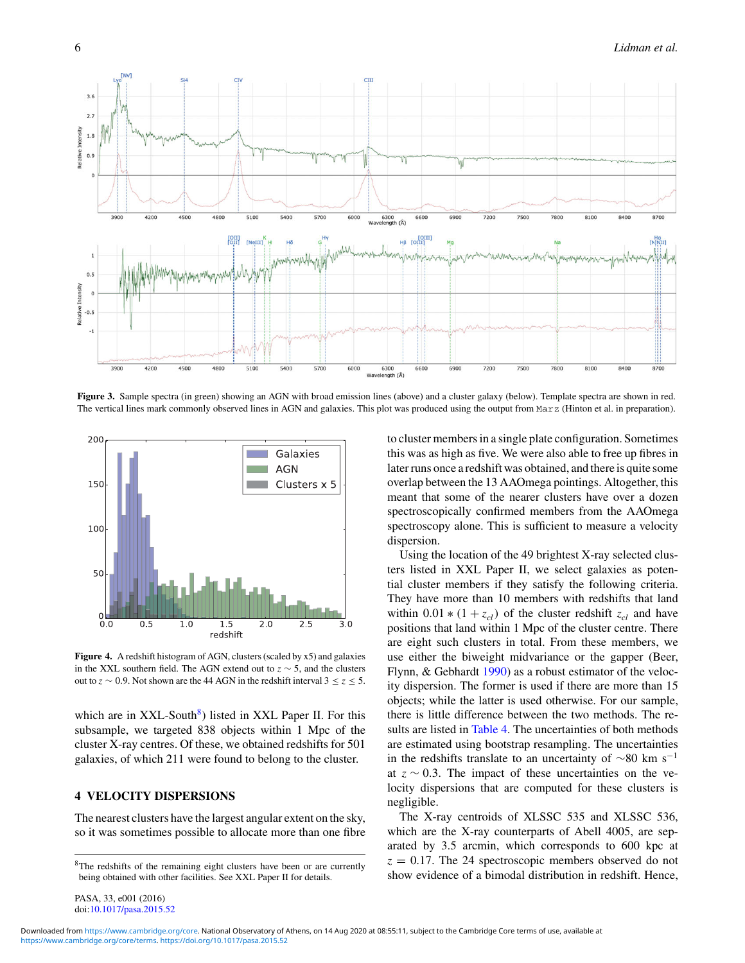<span id="page-5-0"></span>

**Figure 3.** Sample spectra (in green) showing an AGN with broad emission lines (above) and a cluster galaxy (below). Template spectra are shown in red. The vertical lines mark commonly observed lines in AGN and galaxies. This plot was produced using the output from Marz (Hinton et al. in preparation).



**Figure 4.** A redshift histogram of AGN, clusters (scaled by x5) and galaxies in the XXL southern field. The AGN extend out to *z* ∼ 5, and the clusters out to *z* ∼ 0.9. Not shown are the 44 AGN in the redshift interval  $3 \le z \le 5$ .

which are in  $XXL-South<sup>8</sup>$ ) listed in XXL Paper II. For this subsample, we targeted 838 objects within 1 Mpc of the cluster X-ray centres. Of these, we obtained redshifts for 501 galaxies, of which 211 were found to belong to the cluster.

# **4 VELOCITY DISPERSIONS**

The nearest clusters have the largest angular extent on the sky, so it was sometimes possible to allocate more than one fibre

PASA, 33, e001 (2016) doi[:10.1017/pasa.2015.52](http://dx.doi.org/10.1017/pasa.2015.52) to cluster members in a single plate configuration. Sometimes this was as high as five. We were also able to free up fibres in later runs once a redshift was obtained, and there is quite some overlap between the 13 AAOmega pointings. Altogether, this meant that some of the nearer clusters have over a dozen spectroscopically confirmed members from the AAOmega spectroscopy alone. This is sufficient to measure a velocity dispersion.

Using the location of the 49 brightest X-ray selected clusters listed in XXL Paper II, we select galaxies as potential cluster members if they satisfy the following criteria. They have more than 10 members with redshifts that land within  $0.01 * (1 + z_{cl})$  of the cluster redshift  $z_{cl}$  and have positions that land within 1 Mpc of the cluster centre. There are eight such clusters in total. From these members, we use either the biweight midvariance or the gapper (Beer, Flynn, & Gebhardt [1990\)](#page-6-0) as a robust estimator of the velocity dispersion. The former is used if there are more than 15 objects; while the latter is used otherwise. For our sample, there is little difference between the two methods. The re-sults are listed in [Table 4.](#page-6-0) The uncertainties of both methods are estimated using bootstrap resampling. The uncertainties in the redshifts translate to an uncertainty of  $\sim$ 80 km s<sup>-1</sup> at *z* ∼ 0.3. The impact of these uncertainties on the velocity dispersions that are computed for these clusters is negligible.

The X-ray centroids of XLSSC 535 and XLSSC 536, which are the X-ray counterparts of Abell 4005, are separated by 3.5 arcmin, which corresponds to 600 kpc at  $z = 0.17$ . The 24 spectroscopic members observed do not show evidence of a bimodal distribution in redshift. Hence,

<sup>8</sup>The redshifts of the remaining eight clusters have been or are currently being obtained with other facilities. See XXL Paper II for details.